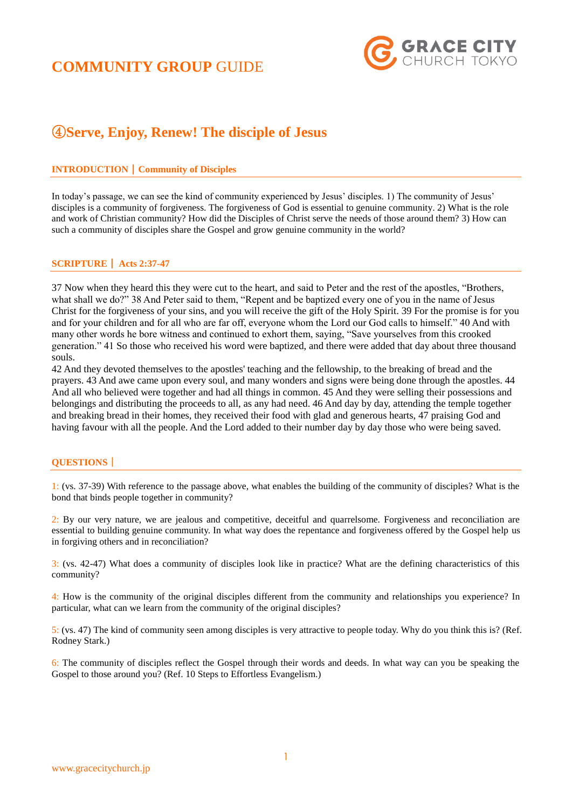# **COMMUNITY GROUP** GUIDE



# ④**Serve, Enjoy, Renew! The disciple of Jesus**

### **INTRODUCTION**|**Community of Disciples**

In today's passage, we can see the kind of community experienced by Jesus' disciples. 1) The community of Jesus' disciples is a community of forgiveness. The forgiveness of God is essential to genuine community. 2) What is the role and work of Christian community? How did the Disciples of Christ serve the needs of those around them? 3) How can such a community of disciples share the Gospel and grow genuine community in the world?

### **SCRIPTURE**| **Acts 2:37-47**

37 Now when they heard this they were cut to the heart, and said to Peter and the rest of the apostles, "Brothers, what shall we do?" 38 And Peter said to them, "Repent and be baptized every one of you in the name of Jesus Christ for the forgiveness of your sins, and you will receive the gift of the Holy Spirit. 39 For the promise is for you and for your children and for all who are far off, everyone whom the Lord our God calls to himself." 40 And with many other words he bore witness and continued to exhort them, saying, "Save yourselves from this crooked generation." 41 So those who received his word were baptized, and there were added that day about three thousand souls.

42 And they devoted themselves to the apostles' teaching and the fellowship, to the breaking of bread and the prayers. 43 And awe came upon every soul, and many wonders and signs were being done through the apostles. 44 And all who believed were together and had all things in common. 45 And they were selling their possessions and belongings and distributing the proceeds to all, as any had need. 46 And day by day, attending the temple together and breaking bread in their homes, they received their food with glad and generous hearts, 47 praising God and having favour with all the people. And the Lord added to their number day by day those who were being saved.

#### **QUESTIONS**|

1: (vs. 37-39) With reference to the passage above, what enables the building of the community of disciples? What is the bond that binds people together in community?

2: By our very nature, we are jealous and competitive, deceitful and quarrelsome. Forgiveness and reconciliation are essential to building genuine community. In what way does the repentance and forgiveness offered by the Gospel help us in forgiving others and in reconciliation?

3: (vs. 42-47) What does a community of disciples look like in practice? What are the defining characteristics of this community?

4: How is the community of the original disciples different from the community and relationships you experience? In particular, what can we learn from the community of the original disciples?

5: (vs. 47) The kind of community seen among disciples is very attractive to people today. Why do you think this is? (Ref. Rodney Stark.)

6: The community of disciples reflect the Gospel through their words and deeds. In what way can you be speaking the Gospel to those around you? (Ref. 10 Steps to Effortless Evangelism.)